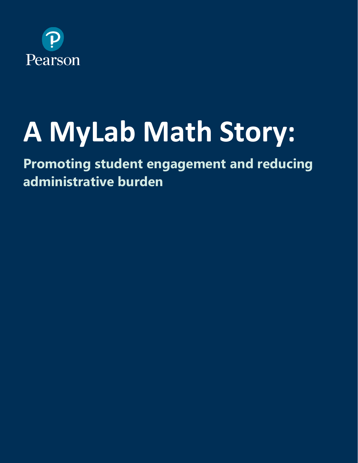

# **A MyLab Math Story:**

**Promoting student engagement and reducing administrative burden**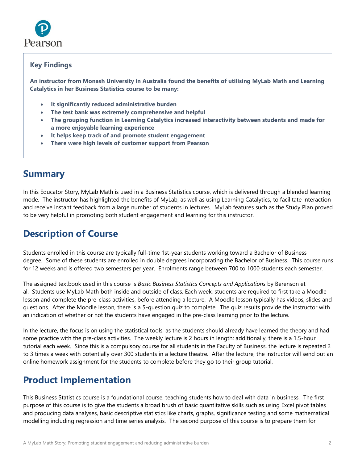

#### **Key Findings**

**An instructor from Monash University in Australia found the benefits of utilising MyLab Math and Learning Catalytics in her Business Statistics course to be many:**

- **It significantly reduced administrative burden**
- **The test bank was extremely comprehensive and helpful**
- **The grouping function in Learning Catalytics increased interactivity between students and made for a more enjoyable learning experience**
- **It helps keep track of and promote student engagement**
- **There were high levels of customer support from Pearson**

## **Summary**

In this Educator Story, MyLab Math is used in a Business Statistics course, which is delivered through a blended learning mode. The instructor has highlighted the benefits of MyLab, as well as using Learning Catalytics, to facilitate interaction and receive instant feedback from a large number of students in lectures. MyLab features such as the Study Plan proved to be very helpful in promoting both student engagement and learning for this instructor.

## **Description of Course**

Students enrolled in this course are typically full-time 1st-year students working toward a Bachelor of Business degree. Some of these students are enrolled in double degrees incorporating the Bachelor of Business. This course runs for 12 weeks and is offered two semesters per year. Enrolments range between 700 to 1000 students each semester.

The assigned textbook used in this course is *Basic Business Statistics Concepts and Applications* by Berenson et al. Students use MyLab Math both inside and outside of class. Each week, students are required to first take a Moodle lesson and complete the pre-class activities, before attending a lecture. A Moodle lesson typically has videos, slides and questions. After the Moodle lesson, there is a 5-question quiz to complete. The quiz results provide the instructor with an indication of whether or not the students have engaged in the pre-class learning prior to the lecture.

In the lecture, the focus is on using the statistical tools, as the students should already have learned the theory and had some practice with the pre-class activities. The weekly lecture is 2 hours in length; additionally, there is a 1.5-hour tutorial each week. Since this is a compulsory course for all students in the Faculty of Business, the lecture is repeated 2 to 3 times a week with potentially over 300 students in a lecture theatre. After the lecture, the instructor will send out an online homework assignment for the students to complete before they go to their group tutorial.

## **Product Implementation**

This Business Statistics course is a foundational course, teaching students how to deal with data in business. The first purpose of this course is to give the students a broad brush of basic quantitative skills such as using Excel pivot tables and producing data analyses, basic descriptive statistics like charts, graphs, significance testing and some mathematical modelling including regression and time series analysis. The second purpose of this course is to prepare them for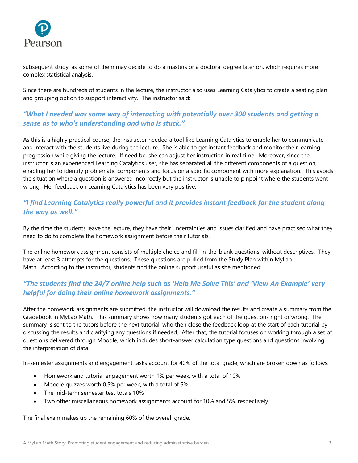

subsequent study, as some of them may decide to do a masters or a doctoral degree later on, which requires more complex statistical analysis.

Since there are hundreds of students in the lecture, the instructor also uses Learning Catalytics to create a seating plan and grouping option to support interactivity. The instructor said:

## *"What I needed was some way of interacting with potentially over 300 students and getting a sense as to who's understanding and who is stuck."*

As this is a highly practical course, the instructor needed a tool like Learning Catalytics to enable her to communicate and interact with the students live during the lecture. She is able to get instant feedback and monitor their learning progression while giving the lecture. If need be, she can adjust her instruction in real time. Moreover, since the instructor is an experienced Learning Catalytics user, she has separated all the different components of a question, enabling her to identify problematic components and focus on a specific component with more explanation. This avoids the situation where a question is answered incorrectly but the instructor is unable to pinpoint where the students went wrong. Her feedback on Learning Catalytics has been very positive:

### *"I find Learning Catalytics really powerful and it provides instant feedback for the student along the way as well."*

By the time the students leave the lecture, they have their uncertainties and issues clarified and have practised what they need to do to complete the homework assignment before their tutorials.

The online homework assignment consists of multiple choice and fill-in-the-blank questions, without descriptives. They have at least 3 attempts for the questions. These questions are pulled from the Study Plan within MyLab Math. According to the instructor, students find the online support useful as she mentioned:

## *"The students find the 24/7 online help such as 'Help Me Solve This' and 'View An Example' very helpful for doing their online homework assignments."*

After the homework assignments are submitted, the instructor will download the results and create a summary from the Gradebook in MyLab Math. This summary shows how many students got each of the questions right or wrong. The summary is sent to the tutors before the next tutorial, who then close the feedback loop at the start of each tutorial by discussing the results and clarifying any questions if needed. After that, the tutorial focuses on working through a set of questions delivered through Moodle, which includes short-answer calculation type questions and questions involving the interpretation of data.

In-semester assignments and engagement tasks account for 40% of the total grade, which are broken down as follows:

- Homework and tutorial engagement worth 1% per week, with a total of 10%
- Moodle quizzes worth 0.5% per week, with a total of 5%
- The mid-term semester test totals 10%
- Two other miscellaneous homework assignments account for 10% and 5%, respectively

The final exam makes up the remaining 60% of the overall grade.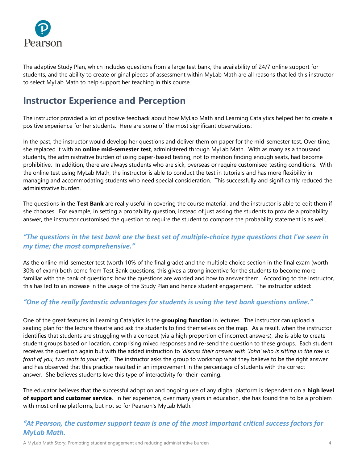

The adaptive Study Plan, which includes questions from a large test bank, the availability of 24/7 online support for students, and the ability to create original pieces of assessment within MyLab Math are all reasons that led this instructor to select MyLab Math to help support her teaching in this course.

## **Instructor Experience and Perception**

The instructor provided a lot of positive feedback about how MyLab Math and Learning Catalytics helped her to create a positive experience for her students. Here are some of the most significant observations:

In the past, the instructor would develop her questions and deliver them on paper for the mid-semester test. Over time, she replaced it with an **online mid-semester test**, administered through MyLab Math. With as many as a thousand students, the administrative burden of using paper-based testing, not to mention finding enough seats, had become prohibitive. In addition, there are always students who are sick, overseas or require customised testing conditions. With the online test using MyLab Math, the instructor is able to conduct the test in tutorials and has more flexibility in managing and accommodating students who need special consideration. This successfully and significantly reduced the administrative burden.

The questions in the **Test Bank** are really useful in covering the course material, and the instructor is able to edit them if she chooses. For example, in setting a probability question, instead of just asking the students to provide a probability answer, the instructor customised the question to require the student to compose the probability statement is as well.

## *"The questions in the test bank are the best set of multiple-choice type questions that I've seen in my time; the most comprehensive."*

As the online mid-semester test (worth 10% of the final grade) and the multiple choice section in the final exam (worth 30% of exam) both come from Test Bank questions, this gives a strong incentive for the students to become more familiar with the bank of questions: how the questions are worded and how to answer them. According to the instructor, this has led to an increase in the usage of the Study Plan and hence student engagement. The instructor added:

#### *"One of the really fantastic advantages for students is using the test bank questions online."*

One of the great features in Learning Catalytics is the **grouping function** in lectures. The instructor can upload a seating plan for the lecture theatre and ask the students to find themselves on the map. As a result, when the instructor identifies that students are struggling with a concept (via a high proportion of incorrect answers), she is able to create student groups based on location, comprising mixed responses and re-send the question to these groups. Each student receives the question again but with the added instruction to *'discuss their answer with 'John' who is sitting in the row in front of you, two seats to your left'.* The instructor asks the group to workshop what they believe to be the right answer and has observed that this practice resulted in an improvement in the percentage of students with the correct answer. She believes students love this type of interactivity for their learning.

The educator believes that the successful adoption and ongoing use of any digital platform is dependent on a **high level of support and customer service**. In her experience, over many years in education, she has found this to be a problem with most online platforms, but not so for Pearson's MyLab Math.

#### *"At Pearson, the customer support team is one of the most important critical success factors for MyLab Math.*